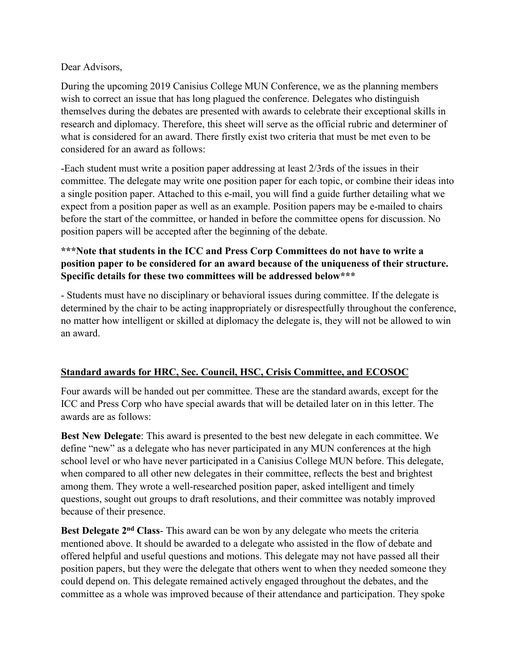Dear Advisors,

During the upcoming 2019 Canisius College MUN Conference, we as the planning members wish to correct an issue that has long plagued the conference. Delegates who distinguish themselves during the debates are presented with awards to celebrate their exceptional skills in research and diplomacy. Therefore, this sheet will serve as the official rubric and determiner of what is considered for an award. There firstly exist two criteria that must be met even to be considered for an award as follows:

-Each student must write a position paper addressing at least 2/3rds of the issues in their committee. The delegate may write one position paper for each topic, or combine their ideas into a single position paper. Attached to this e-mail, you will find a guide further detailing what we expect from a position paper as well as an example. Position papers may be e-mailed to chairs before the start of the committee, or handed in before the committee opens for discussion. No position papers will be accepted after the beginning of the debate.

# **\*\*\*Note that students in the ICC and Press Corp Committees do not have to write a position paper to be considered for an award because of the uniqueness of their structure. Specific details for these two committees will be addressed below\*\*\***

- Students must have no disciplinary or behavioral issues during committee. If the delegate is determined by the chair to be acting inappropriately or disrespectfully throughout the conference, no matter how intelligent or skilled at diplomacy the delegate is, they will not be allowed to win an award.

## **Standard awards for HRC, Sec. Council, HSC, Crisis Committee, and ECOSOC**

Four awards will be handed out per committee. These are the standard awards, except for the ICC and Press Corp who have special awards that will be detailed later on in this letter. The awards are as follows:

**Best New Delegate**: This award is presented to the best new delegate in each committee. We define "new" as a delegate who has never participated in any MUN conferences at the high school level or who have never participated in a Canisius College MUN before. This delegate, when compared to all other new delegates in their committee, reflects the best and brightest among them. They wrote a well-researched position paper, asked intelligent and timely questions, sought out groups to draft resolutions, and their committee was notably improved because of their presence.

**Best Delegate 2nd Class**- This award can be won by any delegate who meets the criteria mentioned above. It should be awarded to a delegate who assisted in the flow of debate and offered helpful and useful questions and motions. This delegate may not have passed all their position papers, but they were the delegate that others went to when they needed someone they could depend on. This delegate remained actively engaged throughout the debates, and the committee as a whole was improved because of their attendance and participation. They spoke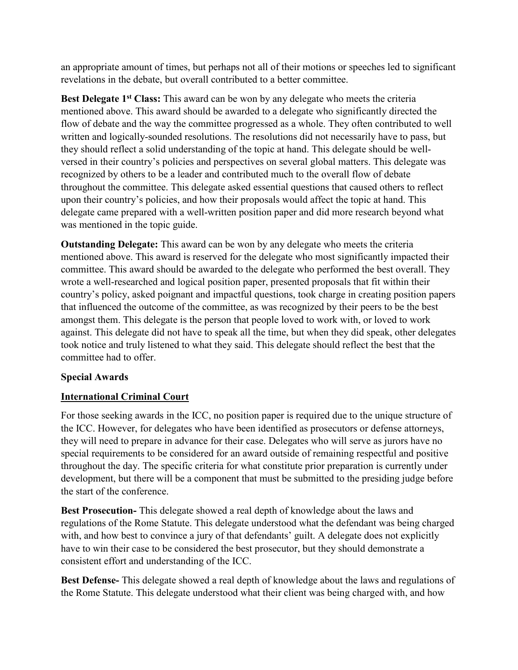an appropriate amount of times, but perhaps not all of their motions or speeches led to significant revelations in the debate, but overall contributed to a better committee.

**Best Delegate 1st Class:** This award can be won by any delegate who meets the criteria mentioned above. This award should be awarded to a delegate who significantly directed the flow of debate and the way the committee progressed as a whole. They often contributed to well written and logically-sounded resolutions. The resolutions did not necessarily have to pass, but they should reflect a solid understanding of the topic at hand. This delegate should be wellversed in their country's policies and perspectives on several global matters. This delegate was recognized by others to be a leader and contributed much to the overall flow of debate throughout the committee. This delegate asked essential questions that caused others to reflect upon their country's policies, and how their proposals would affect the topic at hand. This delegate came prepared with a well-written position paper and did more research beyond what was mentioned in the topic guide.

**Outstanding Delegate:** This award can be won by any delegate who meets the criteria mentioned above. This award is reserved for the delegate who most significantly impacted their committee. This award should be awarded to the delegate who performed the best overall. They wrote a well-researched and logical position paper, presented proposals that fit within their country's policy, asked poignant and impactful questions, took charge in creating position papers that influenced the outcome of the committee, as was recognized by their peers to be the best amongst them. This delegate is the person that people loved to work with, or loved to work against. This delegate did not have to speak all the time, but when they did speak, other delegates took notice and truly listened to what they said. This delegate should reflect the best that the committee had to offer.

## **Special Awards**

## **International Criminal Court**

For those seeking awards in the ICC, no position paper is required due to the unique structure of the ICC. However, for delegates who have been identified as prosecutors or defense attorneys, they will need to prepare in advance for their case. Delegates who will serve as jurors have no special requirements to be considered for an award outside of remaining respectful and positive throughout the day. The specific criteria for what constitute prior preparation is currently under development, but there will be a component that must be submitted to the presiding judge before the start of the conference.

**Best Prosecution-** This delegate showed a real depth of knowledge about the laws and regulations of the Rome Statute. This delegate understood what the defendant was being charged with, and how best to convince a jury of that defendants' guilt. A delegate does not explicitly have to win their case to be considered the best prosecutor, but they should demonstrate a consistent effort and understanding of the ICC.

**Best Defense-** This delegate showed a real depth of knowledge about the laws and regulations of the Rome Statute. This delegate understood what their client was being charged with, and how